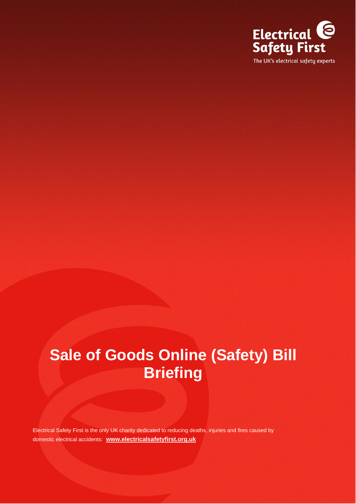

# **Sale of Goods Online (Safety) Bill Briefing**

Electrical Safety First is the only UK charity dedicated to reducing deaths, injuries and fires caused by domestic electrical accidents: **[www.electricalsafetyfirst.org.uk](http://www.electricalsafetyfirst.org.uk/)**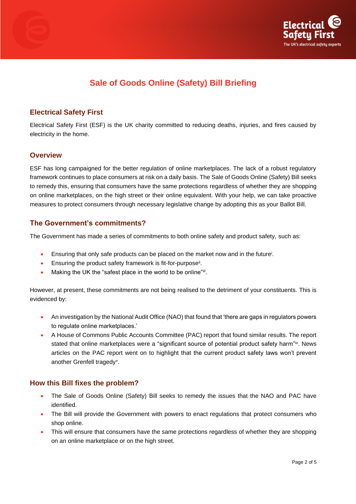



# **Sale of Goods Online (Safety) Bill Briefing**

# **Electrical Safety First**

Electrical Safety First (ESF) is the UK charity committed to reducing deaths, injuries, and fires caused by electricity in the home.

### **Overview**

ESF has long campaigned for the better regulation of online marketplaces. The lack of a robust regulatory framework continues to place consumers at risk on a daily basis. The Sale of Goods Online (Safety) Bill seeks to remedy this, ensuring that consumers have the same protections regardless of whether they are shopping on online marketplaces, on the high street or their online equivalent. With your help, we can take proactive measures to protect consumers through necessary legislative change by adopting this as your Ballot Bill.

# **The Government's commitments?**

The Government has made a series of commitments to both online safety and product safety, such as:

- Ensuring that only safe products can be placed on the market now and in the future<sup>i</sup>.
- Ensuring the product safety framework is fit-for-purpose<sup>ii</sup>.
- Making the UK the "safest place in the world to be online"iii.

However, at present, these commitments are not being realised to the detriment of your constituents. This is evidenced by:

- An investigation by the National Audit Office (NAO) that found that 'there are gaps in regulators powers to regulate online marketplaces.'
- A House of Commons Public Accounts Committee (PAC) report that found similar results. The report stated that online marketplaces were a "significant source of potential product safety harm"iv. News articles on the PAC report went on to highlight that the current product safety laws won't prevent another Grenfell tragedy<sup>v</sup>.

# **How this Bill fixes the problem?**

- The Sale of Goods Online (Safety) Bill seeks to remedy the issues that the NAO and PAC have identified.
- The Bill will provide the Government with powers to enact regulations that protect consumers who shop online.
- This will ensure that consumers have the same protections regardless of whether they are shopping on an online marketplace or on the high street.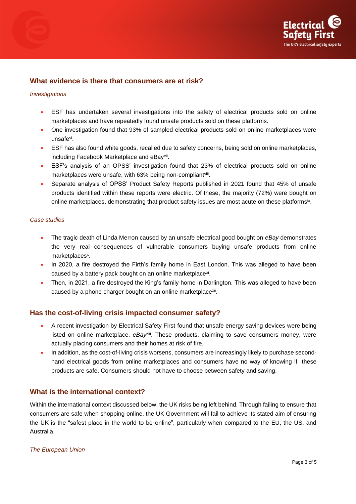



# **What evidence is there that consumers are at risk?**

#### *Investigations*

- ESF has undertaken several investigations into the safety of electrical products sold on online marketplaces and have repeatedly found unsafe products sold on these platforms.
- One investigation found that 93% of sampled electrical products sold on online marketplaces were unsafevi .
- ESF has also found white goods, recalled due to safety concerns, being sold on online marketplaces, including Facebook Marketplace and eBayvii .
- ESF's analysis of an OPSS' investigation found that 23% of electrical products sold on online marketplaces were unsafe, with 63% being non-compliant<sup>viii</sup>.
- Separate analysis of OPSS' Product Safety Reports published in 2021 found that 45% of unsafe products identified within these reports were electric. Of these, the majority (72%) were bought on online marketplaces, demonstrating that product safety issues are most acute on these platforms<sup>ix</sup>.

#### *Case studies*

- The tragic death of Linda Merron caused by an unsafe electrical good bought on *eBay* demonstrates the very real consequences of vulnerable consumers buying unsafe products from online marketplaces<sup>x</sup>.
- In 2020, a fire destroyed the Firth's family home in East London. This was alleged to have been caused by a battery pack bought on an online marketplace<sup>xi</sup>.
- Then, in 2021, a fire destroyed the King's family home in Darlington. This was alleged to have been caused by a phone charger bought on an online marketplace<sup>xii</sup>.

#### **Has the cost-of-living crisis impacted consumer safety?**

- A recent investigation by Electrical Safety First found that unsafe energy saving devices were being listed on online marketplace, eBay<sup>xiii</sup>. These products, claiming to save consumers money, were actually placing consumers and their homes at risk of fire.
- In addition, as the cost-of-living crisis worsens, consumers are increasingly likely to purchase secondhand electrical goods from online marketplaces and consumers have no way of knowing if these products are safe. Consumers should not have to choose between safety and saving.

# **What is the international context?**

Within the international context discussed below, the UK risks being left behind. Through failing to ensure that consumers are safe when shopping online, the UK Government will fail to achieve its stated aim of ensuring the UK is the "safest place in the world to be online", particularly when compared to the EU, the US, and Australia.

#### *The European Union*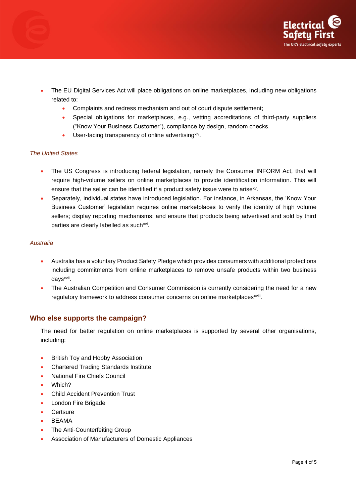

- The EU Digital Services Act will place obligations on online marketplaces, including new obligations related to:
	- Complaints and redress mechanism and out of court dispute settlement;
	- Special obligations for marketplaces, e.g., vetting accreditations of third-party suppliers ("Know Your Business Customer"), compliance by design, random checks.
	- User-facing transparency of online advertising<sup>xiv</sup>.

#### *The United States*

- The US Congress is introducing federal legislation, namely the Consumer INFORM Act, that will require high-volume sellers on online marketplaces to provide identification information. This will ensure that the seller can be identified if a product safety issue were to arise<sup>xv</sup>.
- Separately, individual states have introduced legislation. For instance, in Arkansas, the 'Know Your Business Customer' legislation requires online marketplaces to verify the identity of high volume sellers; display reporting mechanisms; and ensure that products being advertised and sold by third parties are clearly labelled as such<sup>xvi</sup>.

#### *Australia*

- Australia has a voluntary Product Safety Pledge which provides consumers with additional protections including commitments from online marketplaces to remove unsafe products within two business days<sup>xvii</sup>.
- The Australian Competition and Consumer Commission is currently considering the need for a new regulatory framework to address consumer concerns on online marketplaces<sup>xviii</sup>.

#### **Who else supports the campaign?**

The need for better regulation on online marketplaces is supported by several other organisations, including:

- British Toy and Hobby Association
- Chartered Trading Standards Institute
- National Fire Chiefs Council
- Which?
- Child Accident Prevention Trust
- London Fire Brigade
- **Certsure**
- BEAMA
- The Anti-Counterfeiting Group
- Association of Manufacturers of Domestic Appliances